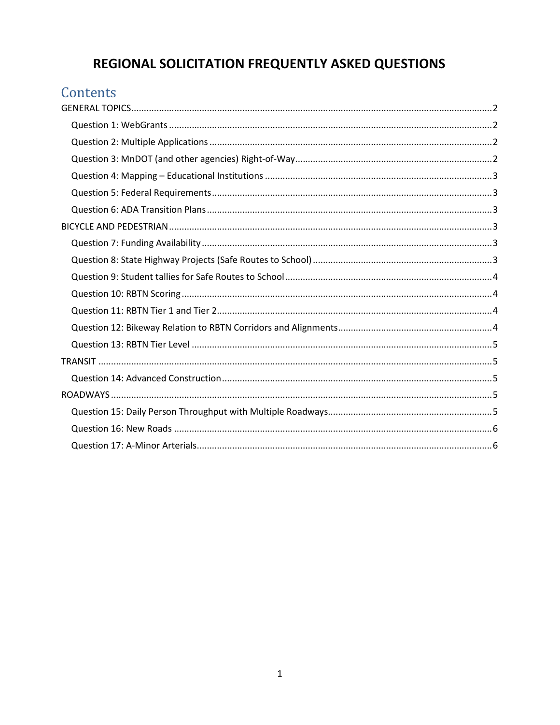# REGIONAL SOLICITATION FREQUENTLY ASKED QUESTIONS

# Contents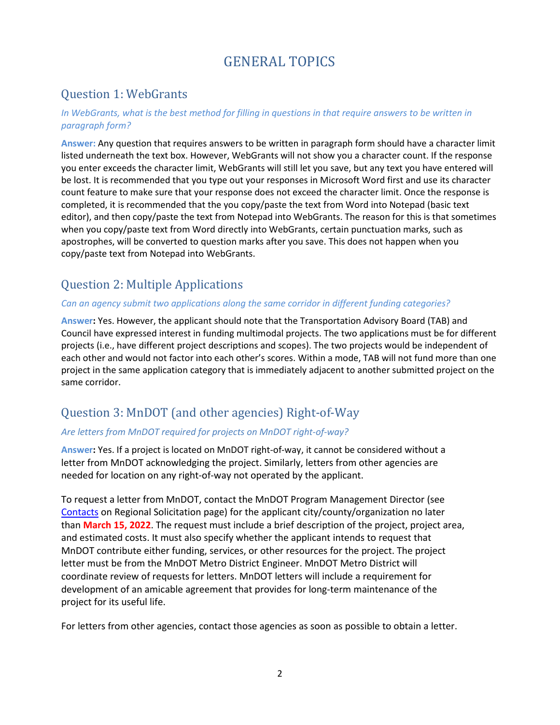# GENERAL TOPICS

### <span id="page-1-1"></span><span id="page-1-0"></span>Question 1: WebGrants

#### *In WebGrants, what is the best method for filling in questions in that require answers to be written in paragraph form?*

**Answer:** Any question that requires answers to be written in paragraph form should have a character limit listed underneath the text box. However, WebGrants will not show you a character count. If the response you enter exceeds the character limit, WebGrants will still let you save, but any text you have entered will be lost. It is recommended that you type out your responses in Microsoft Word first and use its character count feature to make sure that your response does not exceed the character limit. Once the response is completed, it is recommended that the you copy/paste the text from Word into Notepad (basic text editor), and then copy/paste the text from Notepad into WebGrants. The reason for this is that sometimes when you copy/paste text from Word directly into WebGrants, certain punctuation marks, such as apostrophes, will be converted to question marks after you save. This does not happen when you copy/paste text from Notepad into WebGrants.

## <span id="page-1-2"></span>Question 2: Multiple Applications

#### *Can an agency submit two applications along the same corridor in different funding categories?*

**Answer:** Yes. However, the applicant should note that the Transportation Advisory Board (TAB) and Council have expressed interest in funding multimodal projects. The two applications must be for different projects (i.e., have different project descriptions and scopes). The two projects would be independent of each other and would not factor into each other's scores. Within a mode, TAB will not fund more than one project in the same application category that is immediately adjacent to another submitted project on the same corridor.

## <span id="page-1-3"></span>Question 3: MnDOT (and other agencies) Right-of-Way

#### *Are letters from MnDOT required for projects on MnDOT right-of-way?*

**Answer:** Yes. If a project is located on MnDOT right-of-way, it cannot be considered without a letter from MnDOT acknowledging the project. Similarly, letters from other agencies are needed for location on any right-of-way not operated by the applicant.

To request a letter from MnDOT, contact the MnDOT Program Management Director (see [Contacts](https://metrocouncil.org/Transportation/Planning-2/Transportation-Funding/Regional-Solicitation/Applying-for-Regional-Solicitation-funds/Resources/R2Contacts.aspx) on Regional Solicitation page) for the applicant city/county/organization no later than **March 15, 2022**. The request must include a brief description of the project, project area, and estimated costs. It must also specify whether the applicant intends to request that MnDOT contribute either funding, services, or other resources for the project. The project letter must be from the MnDOT Metro District Engineer. MnDOT Metro District will coordinate review of requests for letters. MnDOT letters will include a requirement for development of an amicable agreement that provides for long-term maintenance of the project for its useful life.

For letters from other agencies, contact those agencies as soon as possible to obtain a letter.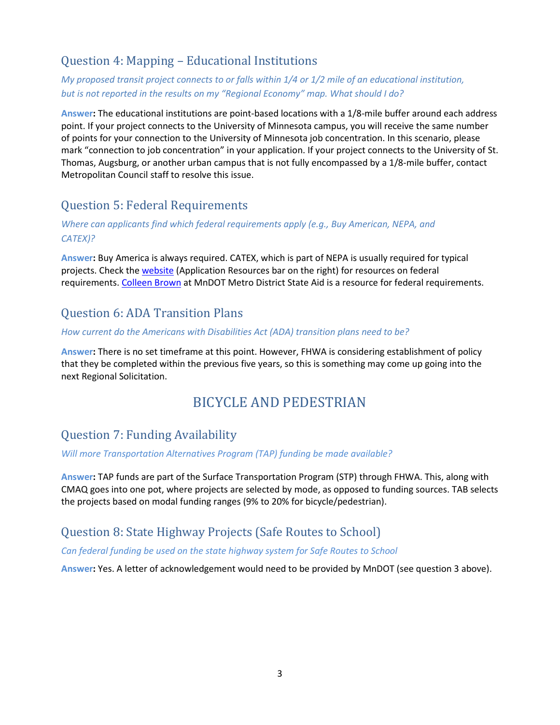## <span id="page-2-0"></span>Question 4: Mapping – Educational Institutions

#### *My proposed transit project connects to or falls within 1/4 or 1/2 mile of an educational institution, but is not reported in the results on my "Regional Economy" map. What should I do?*

**Answer:** The educational institutions are point-based locations with a 1/8-mile buffer around each address point. If your project connects to the University of Minnesota campus, you will receive the same number of points for your connection to the University of Minnesota job concentration. In this scenario, please mark "connection to job concentration" in your application. If your project connects to the University of St. Thomas, Augsburg, or another urban campus that is not fully encompassed by a 1/8-mile buffer, contact Metropolitan Council staff to resolve this issue.

# <span id="page-2-1"></span>Question 5: Federal Requirements

#### *Where can applicants find which federal requirements apply (e.g., Buy American, NEPA, and CATEX)?*

**Answer:** Buy America is always required. CATEX, which is part of NEPA is usually required for typical projects. Check the [website](mailto:https://metrocouncil.org/Transportation/Planning-2/Transportation-Funding/Regional-Solicitation/Applying-for-Regional-Solicitation-funds.aspx) (Application Resources bar on the right) for resources on federal requirements. [Colleen Brown](mailto:colleen.brown@state.mn.us) at MnDOT Metro District State Aid is a resource for federal requirements.

# <span id="page-2-2"></span>Question 6: ADA Transition Plans

#### *How current do the Americans with Disabilities Act (ADA) transition plans need to be?*

<span id="page-2-3"></span>**Answer:** There is no set timeframe at this point. However, FHWA is considering establishment of policy that they be completed within the previous five years, so this is something may come up going into the next Regional Solicitation.

# BICYCLE AND PEDESTRIAN

## <span id="page-2-4"></span>Question 7: Funding Availability

#### *Will more Transportation Alternatives Program (TAP) funding be made available?*

**Answer:** TAP funds are part of the Surface Transportation Program (STP) through FHWA. This, along with CMAQ goes into one pot, where projects are selected by mode, as opposed to funding sources. TAB selects the projects based on modal funding ranges (9% to 20% for bicycle/pedestrian).

## <span id="page-2-5"></span>Question 8: State Highway Projects (Safe Routes to School)

#### *Can federal funding be used on the state highway system for Safe Routes to School*

**Answer:** Yes. A letter of acknowledgement would need to be provided by MnDOT (see question 3 above).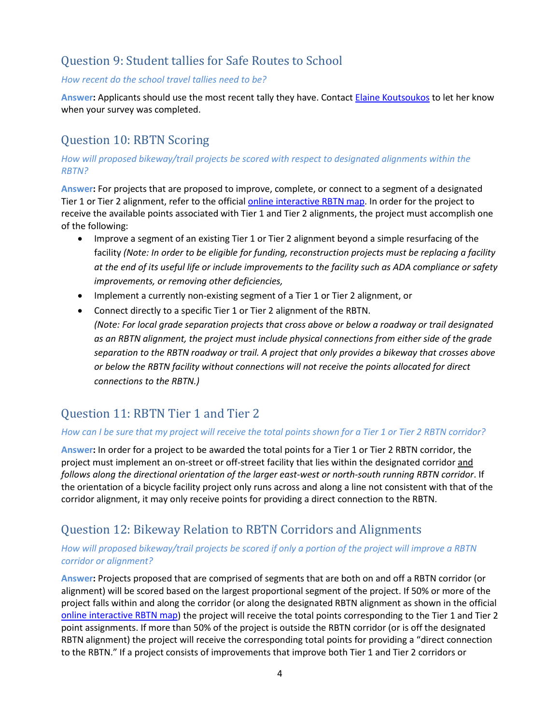## <span id="page-3-0"></span>Question 9: Student tallies for Safe Routes to School

#### *How recent do the school travel tallies need to be?*

**Answer:** Applicants should use the most recent tally they have. Contact [Elaine Koutsoukos](mailto:elaine.koutsoukos@metc.state.mn.us) to let her know when your survey was completed.

### <span id="page-3-1"></span>Question 10: RBTN Scoring

#### *How will proposed bikeway/trail projects be scored with respect to designated alignments within the RBTN?*

**Answer:** For projects that are proposed to improve, complete, or connect to a segment of a designated Tier 1 or Tier 2 alignment, refer to the official [online interactive RBTN map.](https://metrocouncil.maps.arcgis.com/apps/webappviewer/index.html?id=0b0735b3407f49ceb347fc30c9b83bda) In order for the project to receive the available points associated with Tier 1 and Tier 2 alignments, the project must accomplish one of the following:

- Improve a segment of an existing Tier 1 or Tier 2 alignment beyond a simple resurfacing of the facility *(Note: In order to be eligible for funding, reconstruction projects must be replacing a facility at the end of its useful life or include improvements to the facility such as ADA compliance or safety improvements, or removing other deficiencies,*
- Implement a currently non-existing segment of a Tier 1 or Tier 2 alignment, or
- Connect directly to a specific Tier 1 or Tier 2 alignment of the RBTN. *(Note: For local grade separation projects that cross above or below a roadway or trail designated as an RBTN alignment, the project must include physical connections from either side of the grade separation to the RBTN roadway or trail. A project that only provides a bikeway that crosses above or below the RBTN facility without connections will not receive the points allocated for direct connections to the RBTN.)*

#### <span id="page-3-2"></span>Question 11: RBTN Tier 1 and Tier 2

#### *How can I be sure that my project will receive the total points shown for a Tier 1 or Tier 2 RBTN corridor?*

**Answer:** In order for a project to be awarded the total points for a Tier 1 or Tier 2 RBTN corridor, the project must implement an on-street or off-street facility that lies within the designated corridor and *follows along the directional orientation of the larger east-west or north-south running RBTN corridor*. If the orientation of a bicycle facility project only runs across and along a line not consistent with that of the corridor alignment, it may only receive points for providing a direct connection to the RBTN.

## <span id="page-3-3"></span>Question 12: Bikeway Relation to RBTN Corridors and Alignments

#### *How will proposed bikeway/trail projects be scored if only a portion of the project will improve a RBTN corridor or alignment?*

**Answer:** Projects proposed that are comprised of segments that are both on and off a RBTN corridor (or alignment) will be scored based on the largest proportional segment of the project. If 50% or more of the project falls within and along the corridor (or along the designated RBTN alignment as shown in the official [online interactive RBTN map\)](https://metrocouncil.maps.arcgis.com/apps/webappviewer/index.html?id=0b0735b3407f49ceb347fc30c9b83bda) the project will receive the total points corresponding to the Tier 1 and Tier 2 point assignments. If more than 50% of the project is outside the RBTN corridor (or is off the designated RBTN alignment) the project will receive the corresponding total points for providing a "direct connection to the RBTN." If a project consists of improvements that improve both Tier 1 and Tier 2 corridors or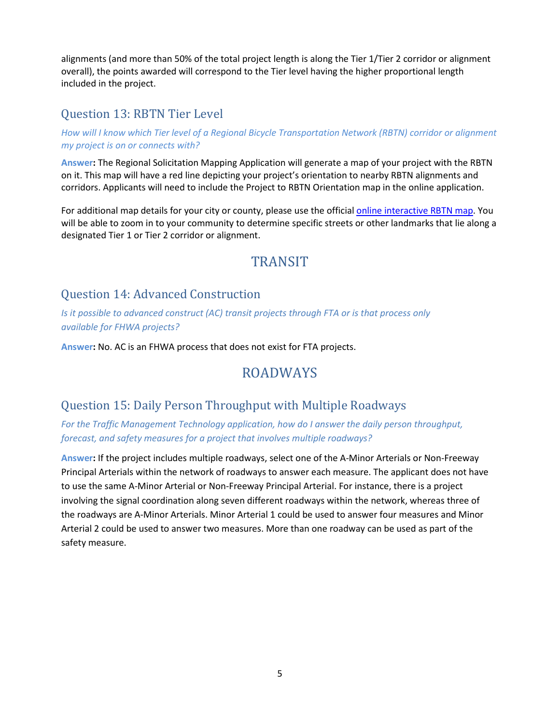alignments (and more than 50% of the total project length is along the Tier 1/Tier 2 corridor or alignment overall), the points awarded will correspond to the Tier level having the higher proportional length included in the project.

#### <span id="page-4-0"></span>Question 13: RBTN Tier Level

#### *How will I know which Tier level of a Regional Bicycle Transportation Network (RBTN) corridor or alignment my project is on or connects with?*

**Answer:** The Regional Solicitation Mapping Application will generate a map of your project with the RBTN on it. This map will have a red line depicting your project's orientation to nearby RBTN alignments and corridors. Applicants will need to include the Project to RBTN Orientation map in the online application.

<span id="page-4-1"></span>For additional map details for your city or county, please use the official [online interactive RBTN map.](https://metrocouncil.maps.arcgis.com/apps/webappviewer/index.html?id=0b0735b3407f49ceb347fc30c9b83bda) You will be able to zoom in to your community to determine specific streets or other landmarks that lie along a designated Tier 1 or Tier 2 corridor or alignment.

# **TRANSIT**

### <span id="page-4-2"></span>Question 14: Advanced Construction

*Is it possible to advanced construct (AC) transit projects through FTA or is that process only available for FHWA projects?*

<span id="page-4-3"></span>**Answer:** No. AC is an FHWA process that does not exist for FTA projects.

# ROADWAYS

#### <span id="page-4-4"></span>Question 15: Daily Person Throughput with Multiple Roadways

#### *For the Traffic Management Technology application, how do I answer the daily person throughput, forecast, and safety measures for a project that involves multiple roadways?*

**Answer:** If the project includes multiple roadways, select one of the A-Minor Arterials or Non-Freeway Principal Arterials within the network of roadways to answer each measure. The applicant does not have to use the same A-Minor Arterial or Non-Freeway Principal Arterial. For instance, there is a project involving the signal coordination along seven different roadways within the network, whereas three of the roadways are A-Minor Arterials. Minor Arterial 1 could be used to answer four measures and Minor Arterial 2 could be used to answer two measures. More than one roadway can be used as part of the safety measure.